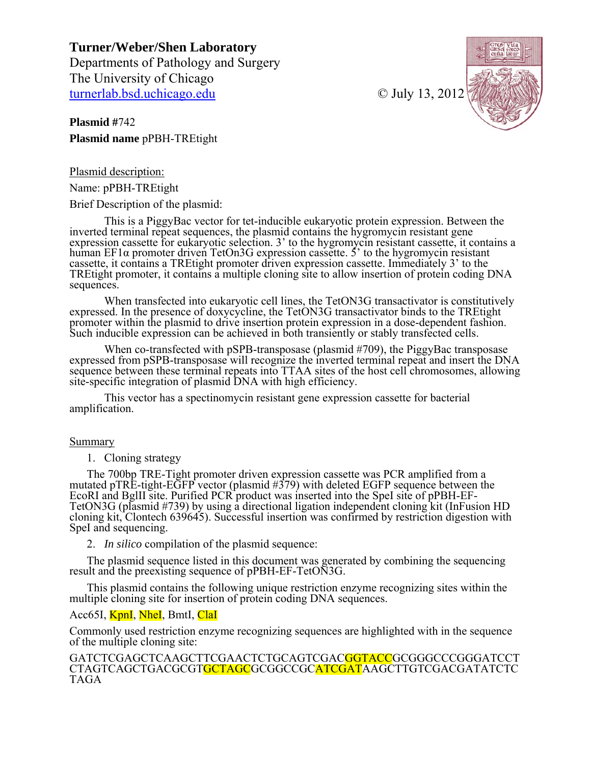**Turner/Weber/Shen Laboratory**  Departments of Pathology and Surgery The University of Chicago turnerlab.bsd.uchicago.edu © July 13, 2012

**Plasmid #**742 **Plasmid name** pPBH-TREtight



Plasmid description:

Name: pPBH-TREtight

Brief Description of the plasmid:

This is a PiggyBac vector for tet-inducible eukaryotic protein expression. Between the inverted terminal repeat sequences, the plasmid contains the hygromycin resistant gene expression cassette for eukaryotic selection. 3' to the hygromycin resistant cassette, it contains a human EF1 $\alpha$  promoter driven TetOn3G expression cassette. 5' to the hygromycin resistant cassette, it contains a TREtight promoter driven expression cassette. Immediately 3' to the TREtight promoter, it contains a multiple cloning site to allow insertion of protein coding DNA sequences.

When transfected into eukaryotic cell lines, the TetON3G transactivator is constitutively expressed. In the presence of doxycycline, the TetON3G transactivator binds to the TREtight promoter within the plasmid to drive insertion protein expression in a dose-dependent fashion. Such inducible expression can be achieved in both transiently or stably transfected cells.

When co-transfected with pSPB-transposase (plasmid #709), the PiggyBac transposase expressed from pSPB-transposase will recognize the inverted terminal repeat and insert the DNA sequence between these terminal repeats into TTAA sites of the host cell chromosomes, allowing site-specific integration of plasmid DNA with high efficiency.

This vector has a spectinomycin resistant gene expression cassette for bacterial amplification.

# Summary

1. Cloning strategy

The 700bp TRE-Tight promoter driven expression cassette was PCR amplified from a mutated pTRE-tight-EGFP vector (plasmid #379) with deleted EGFP sequence between the EcoRI and BglII site. Purified PCR product was inserted into the SpeI site of pPBH-EF-TetON3G (plasmid #739) by using a directional ligation independent cloning kit (InFusion HD cloning kit, Clontech 639645). Successful insertion was confirmed by restriction digestion with SpeI and sequencing.

2. *In silico* compilation of the plasmid sequence:

The plasmid sequence listed in this document was generated by combining the sequencing result and the preexisting sequence of pPBH-EF-TetON3G.

This plasmid contains the following unique restriction enzyme recognizing sites within the multiple cloning site for insertion of protein coding DNA sequences.

# Acc65I, KpnI, NheI, BmtI, ClaI

Commonly used restriction enzyme recognizing sequences are highlighted with in the sequence of the multiple cloning site:

GATCTCGAGCTCAAGCTTCGAACTCTGCAGTCGAC<mark>GGTACC</mark>GCGGGCCCGGGATCCT CTAGTCAGCTGACGCGTGCTAGCGCGGCCGCATCGATAAGCTTGTCGACGATATCTC TAGA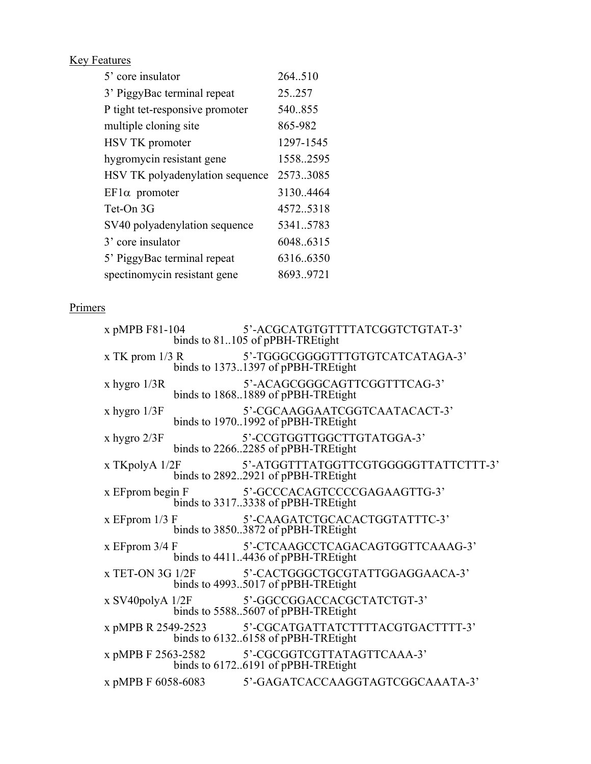**Key Features** 

| 5' core insulator               | 264.510   |
|---------------------------------|-----------|
| 3' PiggyBac terminal repeat     | 25.257    |
| P tight tet-responsive promoter | 540.855   |
| multiple cloning site           | 865-982   |
| HSV TK promoter                 | 1297-1545 |
| hygromycin resistant gene       | 1558.2595 |
| HSV TK polyadenylation sequence | 2573.3085 |
| $E_{\text{F}}$ la promoter      | 3130.4464 |
| Tet-On 3G                       | 4572.5318 |
| SV40 polyadenylation sequence   | 5341.5783 |
| 3' core insulator               | 6048.6315 |
| 5' PiggyBac terminal repeat     | 6316.6350 |
| spectinomycin resistant gene    | 8693.9721 |

# Primers

|                    | x pMPB F81-104 5'-ACGCATGTGTTTTATCGGTCTGTAT-3'<br>binds to 81105 of pPBH-TREtight          |
|--------------------|--------------------------------------------------------------------------------------------|
|                    | x TK prom 1/3 R 5'-TGGGCGGGGTTTGTGTCATCATAGA-3'<br>binds to 13731397 of pPBH-TREtight      |
| x hygro $1/3R$     | 5'-ACAGCGGGCAGTTCGGTTTCAG-3'<br>binds to 18681889 of pPBH-TREtight                         |
| x hygro $1/3F$     | 5'-CGCAAGGAATCGGTCAATACACT-3'<br>binds to 19701992 of pPBH-TREtight                        |
| $x$ hygro $2/3F$   | 5'-CCGTGGTTGGCTTGTATGGA-3'<br>binds to 22662285 of pPBH-TREtight                           |
| x TKpolyA $1/2F$   | 5'-ATGGTTTATGGTTCGTGGGGGTTATTCTTT-3'<br>binds to 28922921 of pPBH-TREtight                 |
| x EF prom begin F  | 5'-GCCCACAGTCCCCGAGAAGTTG-3'<br>binds to 33173338 of pPBH-TREtight                         |
|                    | x EFprom 1/3 F 5'-CAAGATCTGCACACTGGTATTTC-3'<br>binds to 38503872 of pPBH-TREtight         |
| x EF prom $3/4$ F  | 5'-CTCAAGCCTCAGACAGTGGTTCAAAG-3'<br>binds to 44114436 of pPBH-TREtight                     |
|                    | x TET-ON 3G 1/2F 5'-CACTGGGCTGCGTATTGGAGGAACA-3'<br>binds to 49935017 of pPBH-TREtight     |
| x SV40polyA $1/2F$ | 5'-GGCCGGACCACGCTATCTGT-3'<br>binds to 55885607 of pPBH-TREtight                           |
|                    | x pMPB R 2549-2523 5'-CGCATGATTATCTTTTACGTGACTTTT-3'<br>binds to 61326158 of pPBH-TREtight |
|                    | x pMPB F 2563-2582 5'-CGCGGTCGTTATAGTTCAAA-3'<br>binds to 61726191 of pPBH-TREtight        |
|                    | x pMPB F 6058-6083 5'-GAGATCACCAAGGTAGTCGGCAAATA-3'                                        |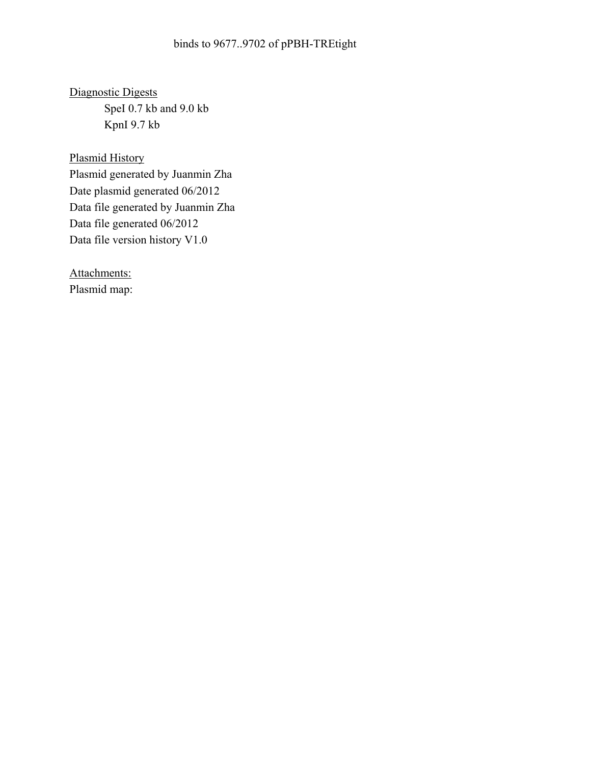Diagnostic Digests SpeI 0.7 kb and 9.0 kb KpnI 9.7 kb

Plasmid History Plasmid generated by Juanmin Zha Date plasmid generated 06/2012 Data file generated by Juanmin Zha Data file generated 06/2012 Data file version history V1.0

Attachments: Plasmid map: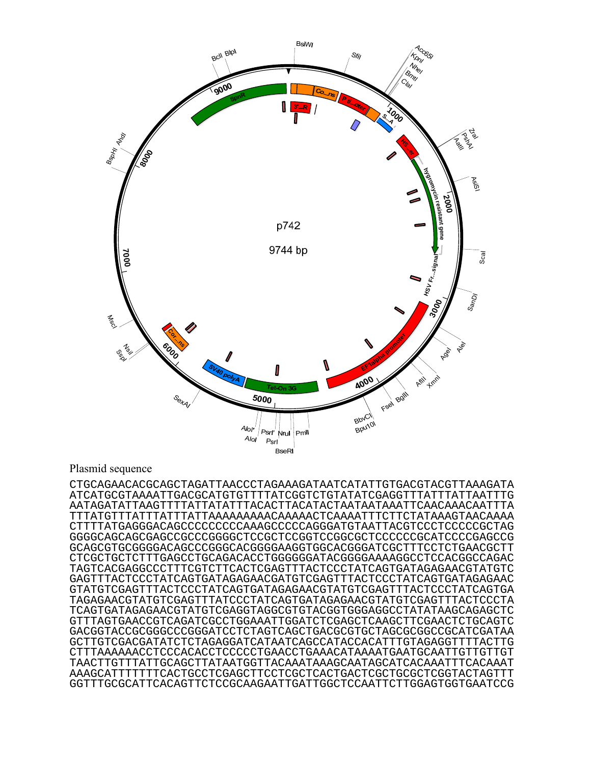

# Plasmid sequence

CTGCAGAACACGCAGCTAGATTAACCCTAGAAAGATAATCATATTGTGACGTACGTTAAAGATA ATCATGCGTAAAATTGACGCATGTGTTTTATCGGTCTGTATATCGAGGTTTATTTATTAATTTG AATAGATATTAAGTTTTATTATATTTACACTTACATACTAATAATAAATTCAACAAACAATTTA TTTATGTTTATTTATTTATTAAAAAAAAACAAAAACTCAAAATTTCTTCTATAAAGTAACAAAA CTTTTATGAGGGACAGCCCCCCCCCAAAGCCCCCAGGGATGTAATTACGTCCCTCCCCCGCTAG GGGGCAGCAGCGAGCCGCCCGGGGCTCCGCTCCGGTCCGGCGCTCCCCCCGCATCCCCGAGCCG GCAGCGTGCGGGGACAGCCCGGGCACGGGGAAGGTGGCACGGGATCGCTTTCCTCTGAACGCTT CTCGCTGCTCTTTGAGCCTGCAGACACCTGGGGGGATACGGGGAAAAGGCCTCCACGGCCAGAC TAGTCACGAGGCCCTTTCGTCTTCACTCGAGTTTACTCCCTATCAGTGATAGAGAACGTATGTC GAGTTTACTCCCTATCAGTGATAGAGAACGATGTCGAGTTTACTCCCTATCAGTGATAGAGAAC GTATGTCGAGTTTACTCCCTATCAGTGATAGAGAACGTATGTCGAGTTTACTCCCTATCAGTGA TAGAGAACGTATGTCGAGTTTATCCCTATCAGTGATAGAGAACGTATGTCGAGTTTACTCCCTA TCAGTGATAGAGAACGTATGTCGAGGTAGGCGTGTACGGTGGGAGGCCTATATAAGCAGAGCTC GTTTAGTGAACCGTCAGATCGCCTGGAAATTGGATCTCGAGCTCAAGCTTCGAACTCTGCAGTC GACGGTACCGCGGGCCCGGGATCCTCTAGTCAGCTGACGCGTGCTAGCGCGGCCGCATCGATAA GCTTGTCGACGATATCTCTAGAGGATCATAATCAGCCATACCACATTTGTAGAGGTTTTACTTG CTTTAAAAAACCTCCCACACCTCCCCCTGAACCTGAAACATAAAATGAATGCAATTGTTGTTGT TAACTTGTTTATTGCAGCTTATAATGGTTACAAATAAAGCAATAGCATCACAAATTTCACAAAT AAAGCATTTTTTTCACTGCCTCGAGCTTCCTCGCTCACTGACTCGCTGCGCTCGGTACTAGTTT GGTTTGCGCATTCACAGTTCTCCGCAAGAATTGATTGGCTCCAATTCTTGGAGTGGTGAATCCG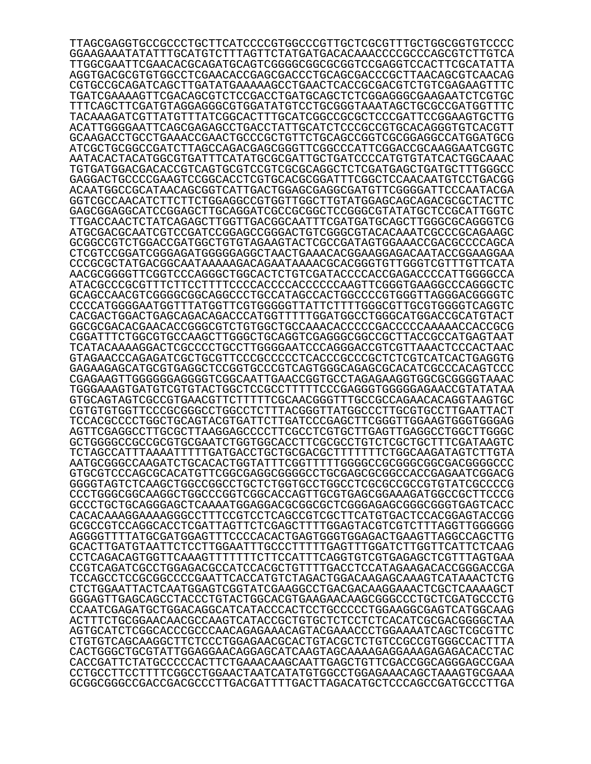TTAGCGAGGTGCCGCCCTGCTTCATCCCCGTGGCCCGTTGCTCGCGTTTGCTGGCGGTGTCCCC GGAAGAAATATATTTGCATGTCTTTAGTTCTATGATGACACAAACCCCGCCCAGCGTCTTGTCA TTGGCGAATTCGAACACGCAGATGCAGTCGGGGCGGCGCGGTCCGAGGTCCACTTCGCATATTA AGGTGACGCGTGTGGCCTCGAACACCGAGCGACCCTGCAGCGACCCGCTTAACAGCGTCAACAG CGTGCCGCAGATCAGCTTGATATGAAAAAGCCTGAACTCACCGCGACGTCTGTCGAGAAGTTTC TGATCGAAAAGTTCGACAGCGTCTCCGACCTGATGCAGCTCTCGGAGGGCGAAGAATCTCGTGC TTTCAGCTTCGATGTAGGAGGGCGTGGATATGTCCTGCGGGTAAATAGCTGCGCCGATGGTTTC TACAAAGATCGTTATGTTTATCGGCACTTTGCATCGGCCGCGCTCCCGATTCCGGAAGTGCTTG ACATTGGGGAATTCAGCGAGAGCCTGACCTATTGCATCTCCCGCCGTGCACAGGGTGTCACGTT GCAAGACCTGCCTGAAACCGAACTGCCCGCTGTTCTGCAGCCGGTCGCGGAGGCCATGGATGCG ATCGCTGCGGCCGATCTTAGCCAGACGAGCGGGTTCGGCCCATTCGGACCGCAAGGAATCGGTC AATACACTACATGGCGTGATTTCATATGCGCGATTGCTGATCCCCATGTGTATCACTGGCAAAC TGTGATGGACGACACCGTCAGTGCGTCCGTCGCGCAGGCTCTCGATGAGCTGATGCTTTGGGCC GAGGACTGCCCCGAAGTCCGGCACCTCGTGCACGCGGATTTCGGCTCCAACAATGTCCTGACGG ACAATGGCCGCATAACAGCGGTCATTGACTGGAGCGAGGCGATGTTCGGGGATTCCCAATACGA GGTCGCCAACATCTTCTTCTGGAGGCCGTGGTTGGCTTGTATGGAGCAGCAGACGCGCTACTTC GAGCGGAGGCATCCGGAGCTTGCAGGATCGCCGCGGCTCCGGGCGTATATGCTCCGCATTGGTC TTGACCAACTCTATCAGAGCTTGGTTGACGGCAATTTCGATGATGCAGCTTGGGCGCAGGGTCG ATGCGACGCAATCGTCCGATCCGGAGCCGGGACTGTCGGGCGTACACAAATCGCCCGCAGAAGC GCGGCCGTCTGGACCGATGGCTGTGTAGAAGTACTCGCCGATAGTGGAAACCGACGCCCCAGCA CTCGTCCGGATCGGGAGATGGGGGAGGCTAACTGAAACACGGAAGGAGACAATACCGGAAGGAA CCCGCGCTATGACGGCAATAAAAAGACAGAATAAAACGCACGGGTGTTGGGTCGTTTGTTCATA AACGCGGGGTTCGGTCCCAGGGCTGGCACTCTGTCGATACCCCACCGAGACCCCATTGGGGCCA ATACGCCCGCGTTTCTTCCTTTTCCCCACCCCACCCCCCAAGTTCGGGTGAAGGCCCAGGGCTC GCAGCCAACGTCGGGGCGGCAGGCCCTGCCATAGCCACTGGCCCCGTGGGTTAGGGACGGGGTC CCCCATGGGGAATGGTTTATGGTTCGTGGGGGTTATTCTTTTGGGCGTTGCGTGGGGTCAGGTC CACGACTGGACTGAGCAGACAGACCCATGGTTTTTGGATGGCCTGGGCATGGACCGCATGTACT GGCGCGACACGAACACCGGGCGTCTGTGGCTGCCAAACACCCCCGACCCCCAAAAACCACCGCG CGGATTTCTGGCGTGCCAAGCTTGGGCTGCAGGTCGAGGGCGGCCGCTTACCGCCATGAGTAAT TCATACAAAAGGACTCGCCCCTGCCTTGGGGAATCCCAGGGACCGTCGTTAAACTCCCACTAAC GTAGAACCCAGAGATCGCTGCGTTCCCGCCCCCTCACCCGCCCGCTCTCGTCATCACTGAGGTG GAGAAGAGCATGCGTGAGGCTCCGGTGCCCGTCAGTGGGCAGAGCGCACATCGCCCACAGTCCC CGAGAAGTTGGGGGGAGGGGTCGGCAATTGAACCGGTGCCTAGAGAAGGTGGCGCGGGGTAAAC TGGGAAAGTGATGTCGTGTACTGGCTCCGCCTTTTTCCCGAGGGTGGGGGAGAACCGTATATAA GTGCAGTAGTCGCCGTGAACGTTCTTTTTCGCAACGGGTTTGCCGCCAGAACACAGGTAAGTGC CGTGTGTGGTTCCCGCGGGCCTGGCCTCTTTACGGGTTATGGCCCTTGCGTGCCTTGAATTACT TCCACGCCCCTGGCTGCAGTACGTGATTCTTGATCCCGAGCTTCGGGTTGGAAGTGGGTGGGAG AGTTCGAGGCCTTGCGCTTAAGGAGCCCCTTCGCCTCGTGCTTGAGTTGAGGCCTGGCTTGGGC GCTGGGGCCGCCGCGTGCGAATCTGGTGGCACCTTCGCGCCTGTCTCGCTGCTTTCGATAAGTC TCTAGCCATTTAAAATTTTTGATGACCTGCTGCGACGCTTTTTTTCTGGCAAGATAGTCTTGTA AATGCGGGCCAAGATCTGCACACTGGTATTTCGGTTTTTGGGGCCGCGGGCGGCGACGGGGCCC GTGCGTCCCAGCGCACATGTTCGGCGAGGCGGGGCCTGCGAGCGCGGCCACCGAGAATCGGACG GGGGTAGTCTCAAGCTGGCCGGCCTGCTCTGGTGCCTGGCCTCGCGCCGCCGTGTATCGCCCCG CCCTGGGCGGCAAGGCTGGCCCGGTCGGCACCAGTTGCGTGAGCGGAAAGATGGCCGCTTCCCG GCCCTGCTGCAGGGAGCTCAAAATGGAGGACGCGGCGCTCGGGAGAGCGGGCGGGTGAGTCACC CACACAAAGGAAAAGGGCCTTTCCGTCCTCAGCCGTCGCTTCATGTGACTCCACGGAGTACCGG GCGCCGTCCAGGCACCTCGATTAGTTCTCGAGCTTTTGGAGTACGTCGTCTTTAGGTTGGGGGG AGGGGTTTTATGCGATGGAGTTTCCCCACACTGAGTGGGTGGAGACTGAAGTTAGGCCAGCTTG GCACTTGATGTAATTCTCCTTGGAATTTGCCCTTTTTGAGTTTGGATCTTGGTTCATTCTCAAG CCTCAGACAGTGGTTCAAAGTTTTTTTCTTCCATTTCAGGTGTCGTGAGAGCTCGTTTAGTGAA CCGTCAGATCGCCTGGAGACGCCATCCACGCTGTTTTGACCTCCATAGAAGACACCGGGACCGA TCCAGCCTCCGCGGCCCCGAATTCACCATGTCTAGACTGGACAAGAGCAAAGTCATAAACTCTG CTCTGGAATTACTCAATGGAGTCGGTATCGAAGGCCTGACGACAAGGAAACTCGCTCAAAAGCT GGGAGTTGAGCAGCCTACCCTGTACTGGCACGTGAAGAACAAGCGGGCCCTGCTCGATGCCCTG CCAATCGAGATGCTGGACAGGCATCATACCCACTCCTGCCCCCTGGAAGGCGAGTCATGGCAAG ACTTTCTGCGGAACAACGCCAAGTCATACCGCTGTGCTCTCCTCTCACATCGCGACGGGGCTAA AGTGCATCTCGGCACCCGCCCAACAGAGAAACAGTACGAAACCCTGGAAAATCAGCTCGCGTTC CTGTGTCAGCAAGGCTTCTCCCTGGAGAACGCACTGTACGCTCTGTCCGCCGTGGGCCACTTTA CACTGGGCTGCGTATTGGAGGAACAGGAGCATCAAGTAGCAAAAGAGGAAAGAGAGACACCTAC CACCGATTCTATGCCCCCACTTCTGAAACAAGCAATTGAGCTGTTCGACCGGCAGGGAGCCGAA CCTGCCTTCCTTTTCGGCCTGGAACTAATCATATGTGGCCTGGAGAAACAGCTAAAGTGCGAAA GCGGCGGGCCGACCGACGCCCTTGACGATTTTGACTTAGACATGCTCCCAGCCGATGCCCTTGA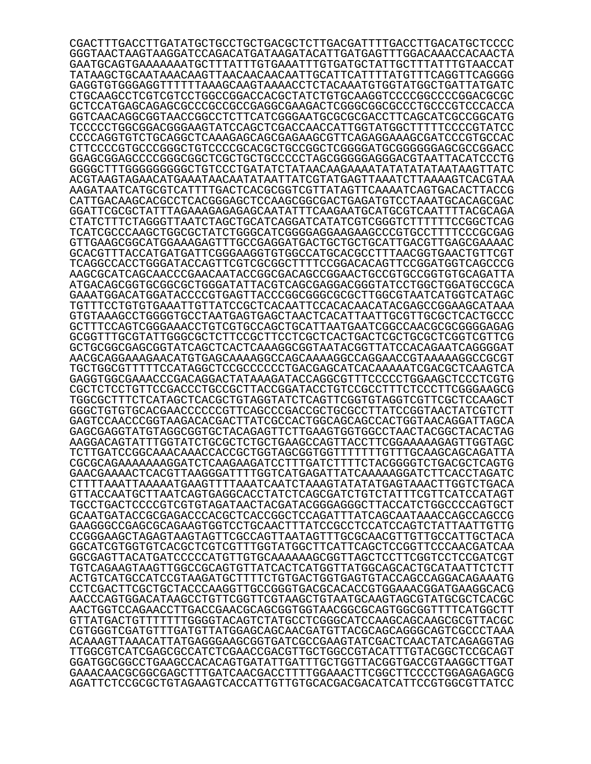CGACTTTGACCTTGATATGCTGCCTGCTGACGCTCTTGACGATTTTGACCTTGACATGCTCCCC GGGTAACTAAGTAAGGATCCAGACATGATAAGATACATTGATGAGTTTGGACAAACCACAACTA GAATGCAGTGAAAAAAATGCTTTATTTGTGAAATTTGTGATGCTATTGCTTTATTTGTAACCAT TATAAGCTGCAATAAACAAGTTAACAACAACAATTGCATTCATTTTATGTTTCAGGTTCAGGGG GAGGTGTGGGAGGTTTTTTAAAGCAAGTAAAACCTCTACAAATGTGGTATGGCTGATTATGATC CTGCAAGCCTCGTCGTCCTGGCCGGACCACGCTATCTGTGCAAGGTCCCCGGCCCCGGACGCGC GCTCCATGAGCAGAGCGCCCGCCGCCGAGGCGAAGACTCGGGCGGCGCCCTGCCCGTCCCACCA GGTCAACAGGCGGTAACCGGCCTCTTCATCGGGAATGCGCGCGACCTTCAGCATCGCCGGCATG TCCCCCTGGCGGACGGGAAGTATCCAGCTCGACCAACCATTGGTATGGCTTTTTCCCCGTATCC CCCCAGGTGTCTGCAGGCTCAAAGAGCAGCGAGAAGCGTTCAGAGGAAAGCGATCCCGTGCCAC CTTCCCCGTGCCCGGGCTGTCCCCGCACGCTGCCGGCTCGGGGATGCGGGGGGAGCGCCGGACC GGAGCGGAGCCCCGGGCGGCTCGCTGCTGCCCCCTAGCGGGGGAGGGACGTAATTACATCCCTG GGGGCTTTGGGGGGGGGCTGTCCCTGATATCTATAACAAGAAAATATATATATAATAAGTTATC ACGTAAGTAGAACATGAAATAACAATATAATTATCGTATGAGTTAAATCTTAAAAGTCACGTAA AAGATAATCATGCGTCATTTTGACTCACGCGGTCGTTATAGTTCAAAATCAGTGACACTTACCG CATTGACAAGCACGCCTCACGGGAGCTCCAAGCGGCGACTGAGATGTCCTAAATGCACAGCGAC GGATTCGCGCTATTTAGAAAGAGAGAGCAATATTTCAAGAATGCATGCGTCAATTTTACGCAGA CTATCTTTCTAGGGTTAATCTAGCTGCATCAGGATCATATCGTCGGGTCTTTTTTCCGGCTCAG TCATCGCCCAAGCTGGCGCTATCTGGGCATCGGGGAGGAAGAAGCCCGTGCCTTTTCCCGCGAG GTTGAAGCGGCATGGAAAGAGTTTGCCGAGGATGACTGCTGCTGCATTGACGTTGAGCGAAAAC GCACGTTTACCATGATGATTCGGGAAGGTGTGGCCATGCACGCCTTTAACGGTGAACTGTTCGT TCAGGCCACCTGGGATACCAGTTCGTCGCGGCTTTTCCGGACACAGTTCCGGATGGTCAGCCCG AAGCGCATCAGCAACCCGAACAATACCGGCGACAGCCGGAACTGCCGTGCCGGTGTGCAGATTA ATGACAGCGGTGCGGCGCTGGGATATTACGTCAGCGAGGACGGGTATCCTGGCTGGATGCCGCA GAAATGGACATGGATACCCCGTGAGTTACCCGGCGGGCGCGCTTGGCGTAATCATGGTCATAGC TGTTTCCTGTGTGAAATTGTTATCCGCTCACAATTCCACACAACATACGAGCCGGAAGCATAAA GTGTAAAGCCTGGGGTGCCTAATGAGTGAGCTAACTCACATTAATTGCGTTGCGCTCACTGCCC GCTTTCCAGTCGGGAAACCTGTCGTGCCAGCTGCATTAATGAATCGGCCAACGCGCGGGGAGAG GCGGTTTGCGTATTGGGCGCTCTTCCGCTTCCTCGCTCACTGACTCGCTGCGCTCGGTCGTTCG GCTGCGGCGAGCGGTATCAGCTCACTCAAAGGCGGTAATACGGTTATCCACAGAATCAGGGGAT AACGCAGGAAAGAACATGTGAGCAAAAGGCCAGCAAAAGGCCAGGAACCGTAAAAAGGCCGCGT TGCTGGCGTTTTTCCATAGGCTCCGCCCCCCTGACGAGCATCACAAAAATCGACGCTCAAGTCA GAGGTGGCGAAACCCGACAGGACTATAAAGATACCAGGCGTTTCCCCCTGGAAGCTCCCTCGTG CGCTCTCCTGTTCCGACCCTGCCGCTTACCGGATACCTGTCCGCCTTTCTCCCTTCGGGAAGCG TGGCGCTTTCTCATAGCTCACGCTGTAGGTATCTCAGTTCGGTGTAGGTCGTTCGCTCCAAGCT GGGCTGTGTGCACGAACCCCCCGTTCAGCCCGACCGCTGCGCCTTATCCGGTAACTATCGTCTT GAGTCCAACCCGGTAAGACACGACTTATCGCCACTGGCAGCAGCCACTGGTAACAGGATTAGCA GAGCGAGGTATGTAGGCGGTGCTACAGAGTTCTTGAAGTGGTGGCCTAACTACGGCTACACTAG AAGGACAGTATTTGGTATCTGCGCTCTGCTGAAGCCAGTTACCTTCGGAAAAAGAGTTGGTAGC TCTTGATCCGGCAAACAAACCACCGCTGGTAGCGGTGGTTTTTTTGTTTGCAAGCAGCAGATTA CGCGCAGAAAAAAAGGATCTCAAGAAGATCCTTTGATCTTTTCTACGGGGTCTGACGCTCAGTG GAACGAAAACTCACGTTAAGGGATTTTGGTCATGAGATTATCAAAAAGGATCTTCACCTAGATC CTTTTAAATTAAAAATGAAGTTTTAAATCAATCTAAAGTATATATGAGTAAACTTGGTCTGACA GTTACCAATGCTTAATCAGTGAGGCACCTATCTCAGCGATCTGTCTATTTCGTTCATCCATAGT TGCCTGACTCCCCGTCGTGTAGATAACTACGATACGGGAGGGCTTACCATCTGGCCCCAGTGCT GCAATGATACCGCGAGACCCACGCTCACCGGCTCCAGATTTATCAGCAATAAACCAGCCAGCCG GAAGGGCCGAGCGCAGAAGTGGTCCTGCAACTTTATCCGCCTCCATCCAGTCTATTAATTGTTG CCGGGAAGCTAGAGTAAGTAGTTCGCCAGTTAATAGTTTGCGCAACGTTGTTGCCATTGCTACA GGCATCGTGGTGTCACGCTCGTCGTTTGGTATGGCTTCATTCAGCTCCGGTTCCCAACGATCAA GGCGAGTTACATGATCCCCCATGTTGTGCAAAAAAGCGGTTAGCTCCTTCGGTCCTCCGATCGT TGTCAGAAGTAAGTTGGCCGCAGTGTTATCACTCATGGTTATGGCAGCACTGCATAATTCTCTT ACTGTCATGCCATCCGTAAGATGCTTTTCTGTGACTGGTGAGTGTACCAGCCAGGACAGAAATG CCTCGACTTCGCTGCTACCCAAGGTTGCCGGGTGACGCACACCGTGGAAACGGATGAAGGCACG AACCCAGTGGACATAAGCCTGTTCGGTTCGTAAGCTGTAATGCAAGTAGCGTATGCGCTCACGC AACTGGTCCAGAACCTTGACCGAACGCAGCGGTGGTAACGGCGCAGTGGCGGTTTTCATGGCTT GTTATGACTGTTTTTTTGGGGTACAGTCTATGCCTCGGGCATCCAAGCAGCAAGCGCGTTACGC CGTGGGTCGATGTTTGATGTTATGGAGCAGCAACGATGTTACGCAGCAGGGCAGTCGCCCTAAA ACAAAGTTAAACATTATGAGGGAAGCGGTGATCGCCGAAGTATCGACTCAACTATCAGAGGTAG TTGGCGTCATCGAGCGCCATCTCGAACCGACGTTGCTGGCCGTACATTTGTACGGCTCCGCAGT GGATGGCGGCCTGAAGCCACACAGTGATATTGATTTGCTGGTTACGGTGACCGTAAGGCTTGAT GAAACAACGCGGCGAGCTTTGATCAACGACCTTTTGGAAACTTCGGCTTCCCCTGGAGAGAGCG AGATTCTCCGCGCTGTAGAAGTCACCATTGTTGTGCACGACGACATCATTCCGTGGCGTTATCC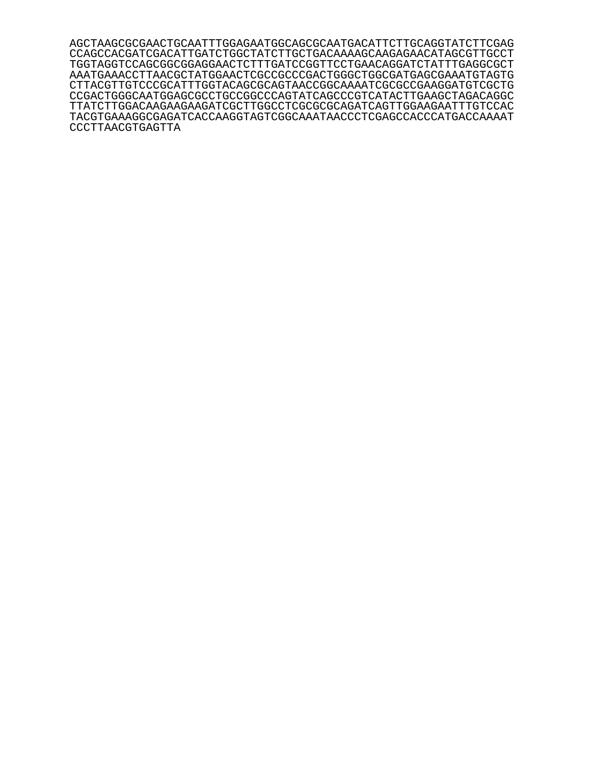AGCTAAGCGCGAACTGCAATTTGGAGAATGGCAGCGCAATGACATTCTTGCAGGTATCTTCGAG CCAGCCACGATCGACATTGATCTGGCTATCTTGCTGACAAAAGCAAGAGAACATAGCGTTGCCT TGGTAGGTCCAGCGGCGGAGGAACTCTTTGATCCGGTTCCTGAACAGGATCTATTTGAGGCGCT AAATGAAACCTTAACGCTATGGAACTCGCCGCCCGACTGGGCTGGCGATGAGCGAAATGTAGTG CTTACGTTGTCCCGCATTTGGTACAGCGCAGTAACCGGCAAAATCGCGCCGAAGGATGTCGCTG CCGACTGGGCAATGGAGCGCCTGCCGGCCCAGTATCAGCCCGTCATACTTGAAGCTAGACAGGC TTATCTTGGACAAGAAGAAGATCGCTTGGCCTCGCGCGCAGATCAGTTGGAAGAATTTGTCCAC TACGTGAAAGGCGAGATCACCAAGGTAGTCGGCAAATAACCCTCGAGCCACCCATGACCAAAAT CCCTTAACGTGAGTTA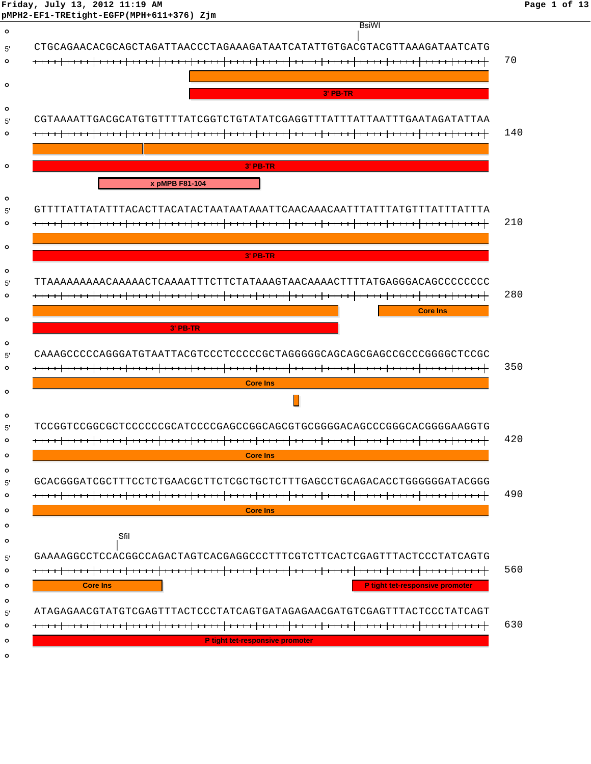|                 | <b>BsiWI</b>                                                           |
|-----------------|------------------------------------------------------------------------|
|                 |                                                                        |
|                 |                                                                        |
|                 |                                                                        |
|                 | 3' PB-TR                                                               |
|                 |                                                                        |
|                 |                                                                        |
|                 |                                                                        |
|                 |                                                                        |
| <b>3' PB-TR</b> |                                                                        |
| x pMPB F81-104  |                                                                        |
|                 |                                                                        |
|                 |                                                                        |
|                 |                                                                        |
|                 |                                                                        |
| <b>3' PB-TR</b> |                                                                        |
|                 | TTAAAAAAAAACAAAAACTCAAAATTTCTTCTATAAAGTAACAAAACTTTTATGAGGGACAGCCCCCCC  |
|                 |                                                                        |
|                 | <b>Core Ins</b>                                                        |
| $3'$ PB-TR      |                                                                        |
|                 |                                                                        |
|                 |                                                                        |
|                 |                                                                        |
| <b>Core Ins</b> |                                                                        |
|                 |                                                                        |
|                 |                                                                        |
|                 | TCCGGTCCGGCGCTCCCCCCGCATCCCCGAGCCGGCAGCGTGCGGGACAGCCCGGGCACGGGAAGGTG   |
|                 |                                                                        |
|                 |                                                                        |
| <b>Core Ins</b> |                                                                        |
|                 |                                                                        |
|                 | GCACGGGATCGCTTTCCTCTGAACGCTTCTCGCTGCTCTTTGAGCCTGCAGACACCTGGGGGGATACGGG |
| <b>Core Ins</b> |                                                                        |
|                 |                                                                        |
| Sfil            |                                                                        |
|                 | GAAAAGGCCTCCACGGCCAGACTAGTCACGAGGCCCTTTCGTCTTCACTCGAGTTTACTCCCTATCAGTG |
|                 |                                                                        |
| <b>Core Ins</b> | P tight tet-responsive promoter                                        |
|                 |                                                                        |
|                 | ATAGAGAACGTATGTCGAGTTTACTCCCTATCAGTGATAGAGAACGATGTCGAGTTTACTCCCTATCAGT |
|                 |                                                                        |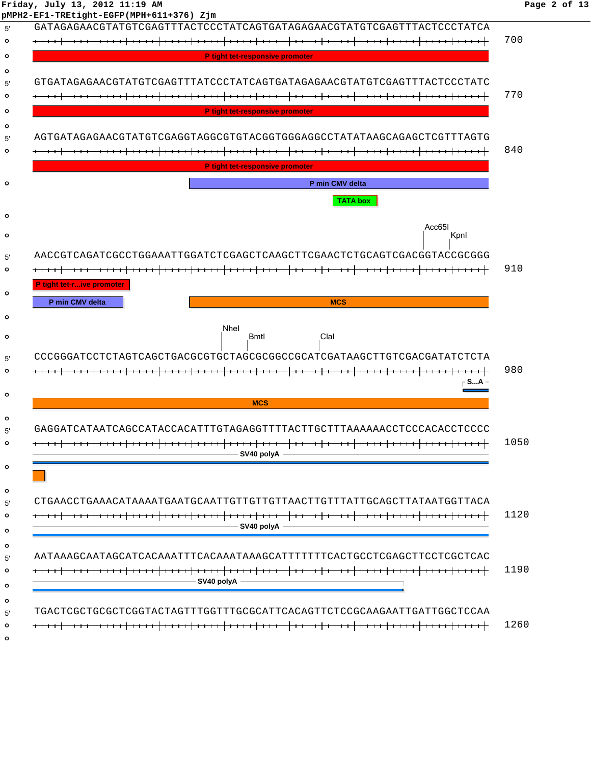# **Friday, July 13, 2012 11:19 AM Page 2 of 13**

| GATAGAGAACGTATGTCGAGTTTACTCCCTATCAGTGATAGAGAACGTATGTCGAGTTTACTCCCTATCA                                                                           |                 |
|--------------------------------------------------------------------------------------------------------------------------------------------------|-----------------|
|                                                                                                                                                  |                 |
|                                                                                                                                                  |                 |
| P tight tet-responsive promoter                                                                                                                  |                 |
|                                                                                                                                                  |                 |
| GTGATAGAGAACGTATGTCGAGTTTATCCCTATCAGTGATAGAGAACGTATGTCGAGTTTACTCCCTATC                                                                           |                 |
|                                                                                                                                                  |                 |
| P tight tet-responsive promoter                                                                                                                  |                 |
|                                                                                                                                                  |                 |
| AGTGATAGAGAACGTATGTCGAGGTAGGCGTGTACGGTGGGAGGCCTATATAAGCAGAGCTCGTTTAGTG                                                                           |                 |
|                                                                                                                                                  |                 |
| P tight tet-responsive promoter                                                                                                                  |                 |
| P min CMV delta                                                                                                                                  |                 |
|                                                                                                                                                  | <b>TATA box</b> |
|                                                                                                                                                  |                 |
|                                                                                                                                                  | Acc65I          |
|                                                                                                                                                  | Kpnl            |
| AACCGTCAGATCGCCTGGAAATTGGATCTCGAGCTCAAGCTTCGAACTCTGCAGTCGACGGTACCGCGGG                                                                           |                 |
|                                                                                                                                                  |                 |
| P tight tet-rive promoter                                                                                                                        |                 |
| P min CMV delta<br><b>MCS</b>                                                                                                                    |                 |
|                                                                                                                                                  |                 |
| <b>Nhel</b>                                                                                                                                      |                 |
| Clal<br>Bmtl                                                                                                                                     |                 |
|                                                                                                                                                  |                 |
|                                                                                                                                                  |                 |
|                                                                                                                                                  |                 |
|                                                                                                                                                  | ⊢ S…A −         |
| <b>MCS</b>                                                                                                                                       |                 |
|                                                                                                                                                  |                 |
| CCCGGGATCCTCTAGTCAGCTGACGCGTGCTAGCGCGGCCGCATCGATAAGCTTGTCGACGATATCTCTA<br>GAGGATCATAATCAGCCATACCACATTTGTAGAGGTTTTACTTGCTTTAAAAAACCTCCCACACCTCCCC |                 |
|                                                                                                                                                  |                 |
| $-$ SV40 polyA $-$                                                                                                                               |                 |
|                                                                                                                                                  |                 |
|                                                                                                                                                  |                 |
|                                                                                                                                                  |                 |
|                                                                                                                                                  |                 |
| $-SV40$ polyA $-$                                                                                                                                |                 |
|                                                                                                                                                  |                 |
|                                                                                                                                                  |                 |
| CTGAACCTGAAACATAAAATGAATGCAATTGTTGTTGTTAACTTGTTTATTGCAGCTTATAATGGTTACA<br>AATAAAGCAATAGCATCACAAATTTCACAAATAAAGCATTTTTTCACTGCCTCGAGCTTCCTCGCTCAC  |                 |
| $-$ SV40 polyA $-$                                                                                                                               |                 |
|                                                                                                                                                  |                 |
|                                                                                                                                                  |                 |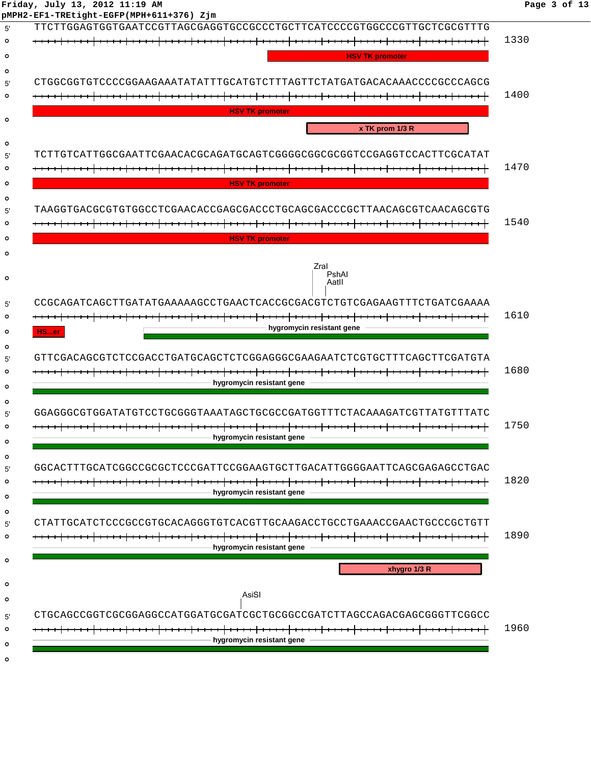| Friday, July 13, 2012 11:19 AM<br>Page 3 of 13 |  |  |  |  |  |  |
|------------------------------------------------|--|--|--|--|--|--|
|------------------------------------------------|--|--|--|--|--|--|

| pMPH2-EF1-TREtight-EGFP(MPH+611+376) Zjm | TTCTTGGAGTGGTGAATCCGTTAGCGAGGTGCCGCCCTGCTTCATCCCCGTGGCCCGTTGCTCGCGTTTG |                           |                        |              |                                      |
|------------------------------------------|------------------------------------------------------------------------|---------------------------|------------------------|--------------|--------------------------------------|
|                                          |                                                                        |                           |                        |              | 1330                                 |
|                                          |                                                                        |                           | <b>HSV TK promoter</b> |              |                                      |
|                                          |                                                                        |                           |                        |              |                                      |
|                                          | CTGGCGGTGTCCCCGGAAGAAATATATTTGCATGTCTTTAGTTCTATGATGACACAAACCCCGCCCAGCG |                           |                        |              |                                      |
|                                          |                                                                        |                           |                        |              | 1400                                 |
|                                          |                                                                        | <b>HSV TK promoter</b>    |                        |              |                                      |
|                                          |                                                                        |                           |                        |              |                                      |
|                                          |                                                                        |                           | x TK prom 1/3 R        |              |                                      |
|                                          |                                                                        |                           |                        |              |                                      |
|                                          |                                                                        |                           |                        |              |                                      |
|                                          |                                                                        |                           |                        |              | 1470                                 |
|                                          |                                                                        | <b>HSV TK promoter</b>    |                        |              |                                      |
|                                          |                                                                        |                           |                        |              |                                      |
|                                          | TAAGGTGACGCGTGTGGCCTCGAACACCGAGCGACCCTGCAGCGACCCGCTTAACAGCGTCAACAGCGTG |                           |                        |              |                                      |
|                                          |                                                                        |                           |                        |              | 1540                                 |
|                                          |                                                                        | <b>HSV TK promoter</b>    |                        |              |                                      |
|                                          |                                                                        |                           |                        |              |                                      |
|                                          |                                                                        | Zral                      | PshAl                  |              |                                      |
|                                          |                                                                        |                           | Aatll                  |              |                                      |
|                                          |                                                                        |                           |                        |              |                                      |
|                                          | CCGCAGATCAGCTTGATATGAAAAAGCCTGAACTCACCGCGACGTCTGTCGAGAAGTTTCTGATCGAAAA |                           |                        |              |                                      |
|                                          |                                                                        |                           |                        |              |                                      |
|                                          |                                                                        |                           |                        |              |                                      |
| HSer                                     |                                                                        | hygromycin resistant gene |                        |              |                                      |
|                                          |                                                                        |                           |                        |              |                                      |
|                                          | GTTCGACAGCGTCTCCGACCTGATGCAGCTCTCGGAGGGCGAAGAATCTCGTGCTTTCAGCTTCGATGTA |                           |                        |              |                                      |
|                                          |                                                                        |                           |                        |              |                                      |
|                                          |                                                                        | hygromycin resistant gene |                        |              |                                      |
|                                          |                                                                        |                           |                        |              |                                      |
|                                          | GGAGGGCGTGGATATGTCCTGCGGGTAAATAGCTGCGCCGATGGTTTCTACAAAGATCGTTATGTTTATC |                           |                        |              |                                      |
|                                          |                                                                        |                           |                        |              |                                      |
|                                          |                                                                        | hygromycin resistant gene |                        |              |                                      |
|                                          |                                                                        |                           |                        |              |                                      |
|                                          | GGCACTTTGCATCGGCCGCGCTCCCGATTCCGGAAGTGCTTGACATTGGGGAATTCAGCGAGAGCCTGAC |                           |                        |              |                                      |
|                                          |                                                                        |                           |                        |              |                                      |
|                                          |                                                                        | hygromycin resistant gene |                        |              |                                      |
|                                          |                                                                        |                           |                        |              |                                      |
|                                          |                                                                        |                           |                        |              |                                      |
|                                          |                                                                        |                           |                        |              |                                      |
|                                          |                                                                        | hygromycin resistant gene |                        |              |                                      |
|                                          |                                                                        |                           |                        |              |                                      |
|                                          |                                                                        |                           |                        | xhygro 1/3 R |                                      |
|                                          |                                                                        |                           |                        |              |                                      |
|                                          |                                                                        | AsiSI                     |                        |              | 1610<br>1680<br>1750<br>1820<br>1890 |
|                                          | CTGCAGCCGGTCGCGGAGGCCATGGATGCGATCGCTGCGGCCGATCTTAGCCAGACGAGCGGGTTCGGCC |                           |                        |              |                                      |
|                                          |                                                                        | hygromycin resistant gene |                        |              | 1960                                 |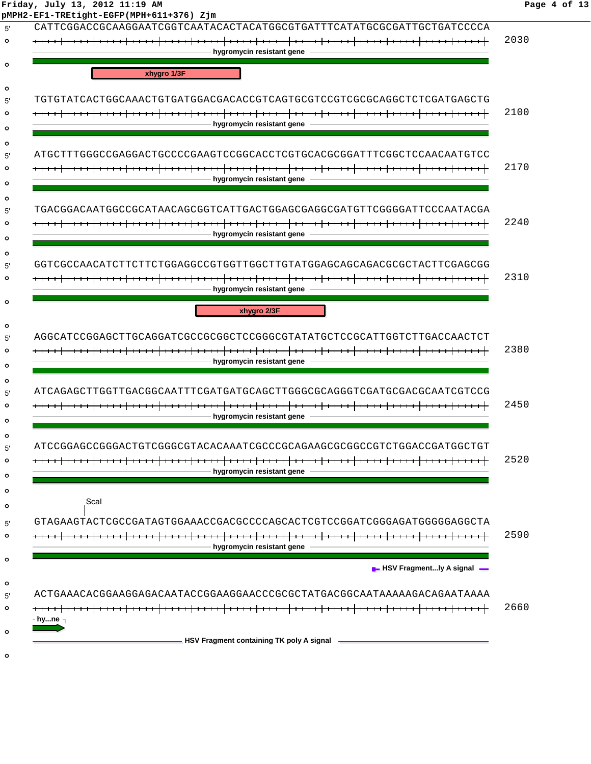| Friday, July 13, 2012 11:19 AM |  |  |  |  |  |  |
|--------------------------------|--|--|--|--|--|--|
|--------------------------------|--|--|--|--|--|--|

| CATTCGGACCGCAAGGAATCGGTCAATACACTACATGGCGTGATTTCATATGCGCGATTGCTGATCCCCA |      |
|------------------------------------------------------------------------|------|
|                                                                        | 2030 |
| - hygromycin resistant gene                                            |      |
| xhygro 1/3F                                                            |      |
|                                                                        |      |
|                                                                        |      |
|                                                                        | 2100 |
| hygromycin resistant gene                                              |      |
|                                                                        |      |
| ATGCTTTGGGCCGAGGACTGCCCGGAAGTCCGGCACCTCGTGCACGGGATTTCGGCTCCAACAATGTCC  |      |
| hygromycin resistant gene                                              | 2170 |
|                                                                        |      |
| TGACGGACAATGGCCGCATAACAGCGGTCATTGACTGGAGCGAGGCGATGTTCGGGGATTCCCAATACGA |      |
|                                                                        | 2240 |
| hygromycin resistant gene                                              |      |
|                                                                        |      |
| GGTCGCCAACATCTTCTTCTGGAGGCCGTGGTTGGCTTGTATGGAGCAGCAGACGCGCTACTTCGAGCGG |      |
|                                                                        | 2310 |
| hygromycin resistant gene                                              |      |
| xhygro 2/3F                                                            |      |
|                                                                        |      |
| AGGCATCCGGAGCTTGCAGGATCGCCGCGGCTCCGGGCGTATATGCTCCGCATTGGTCTTGACCAACTCT |      |
|                                                                        | 2380 |
| hygromycin resistant gene                                              |      |
| ATCAGAGCTTGGTTGACGGCAATTTCGATGATGCAGCTTGGGCGCAGGGTCGATGCGACGCAATCGTCCG |      |
|                                                                        | 2450 |
| hygromycin resistant gene                                              |      |
|                                                                        |      |
| ATCCGGAGCCGGACTGTCGGGCGTACACAAATCGCCCGCAGAAGCGCGGCCGTCTGGACCGATGGCTGT  |      |
|                                                                        | 2520 |
| - hygromycin resistant gene -                                          |      |
| Scal                                                                   |      |
|                                                                        |      |
| GTAGAAGTACTCGCCGATAGTGGAAACCGACGCCCCAGCACTCCTCCGGATCGGGAGATGGGGAGGCTA  |      |
| hygromycin resistant gene                                              | 2590 |
|                                                                        |      |
| $\blacksquare$ HSV Fragmently A signal $\blacksquare$                  |      |
| ACTGAAACACGGAAGGAACAATACCGGAAGGAACCCGCGCTATGACGGCAATAAAAGACAGAATAAAA   |      |
|                                                                        | 2660 |
| – hy…ne <sub>∃</sub>                                                   |      |
|                                                                        |      |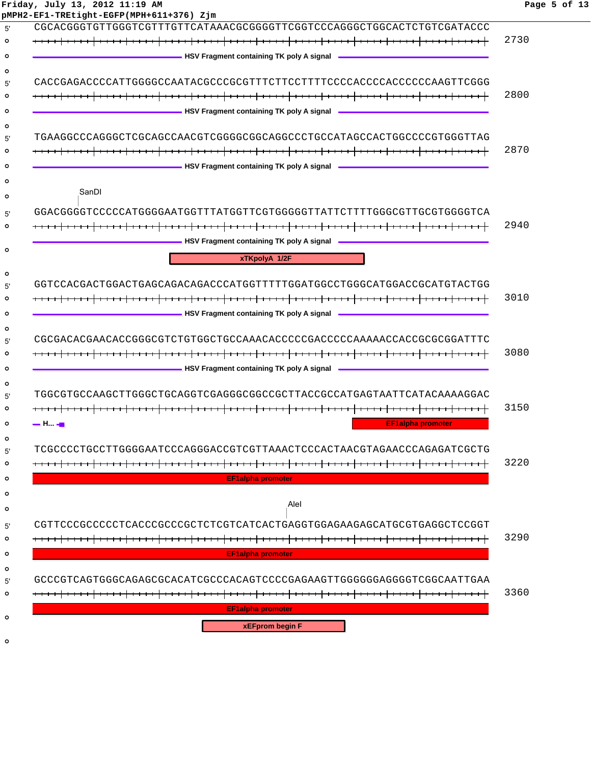| Friday, July 13, 2012 11:19 AM<br>pMPH2-EF1-TREtight-EGFP(MPH+611+376) Zjm                                            | Page 5 of 13 |
|-----------------------------------------------------------------------------------------------------------------------|--------------|
| CGCACGGGTGTTGGGTCGTTTGTTCATAAACGCGGGGTTCGGTCCCAGGGCTGGCACTCTGTCGATACCC                                                |              |
|                                                                                                                       | 2730         |
| <b>NAMEL SET ASSESS</b> HAVE Fragment containing TK poly A signal <b>CONSISTENT</b>                                   |              |
| CACCGAGACCCCATTGGGGCCAATACGCCCGCGTTTCTTCCTTTTCCCCACCCCACCCCCAAGTTCGGG                                                 |              |
|                                                                                                                       | 2800         |
| <b>MARGING THE SET OF STATE OF STATE OF STATE OF STATE OF STATE OF STATE OF STATE OF STATE OF STATE OF STATE OF S</b> |              |
| TGAAGGCCCAGGGCTCGCAGCCAACGTCGGGGCGGCAGGCCCTGCCATAGCCACTGGCCCCGTGGGTTAG                                                |              |
|                                                                                                                       | 2870         |
|                                                                                                                       |              |
| SanDI                                                                                                                 |              |
| GGACGGGGTCCCCCATGGGGAATGGTTTATGGTTCGTGGGGGTTATTCTTTTGGGCGTTGCGTGGGGTCA                                                |              |
|                                                                                                                       | 2940         |
| <b>NAMEL SET ASSESS</b> HIS PROPERTY FRAGE PROPERTY PROPERTY. THE PROPERTY PROPERTY PROPERTY PROPERTY PROPERTY.       |              |
| xTKpolyA 1/2F                                                                                                         |              |
| GGTCCACGACTGGACTGAGCAGACAGACCCATGGTTTTTGGATGGCCTGGGCATGGACCGCATGTACTGG                                                |              |
|                                                                                                                       | 3010         |
|                                                                                                                       |              |
|                                                                                                                       |              |
| CGCGACACGAACACCGGGCGTCTGTGGCTGCCAAACACCCCCGACCCCCAAAAACCACCGCGCGGATTTC                                                |              |
|                                                                                                                       | 3080         |
| <b>According TK poly A signal According TK</b> poly A signal <b>According TK</b> poly A signal                        |              |
| TGGCGTGCCAAGCTTGGGCTGCAGGTCGAGGGCGGCCGCTTACCGCCATGAGTAATTCATACAAAAGGAC                                                |              |
|                                                                                                                       | 3150         |
| <b>EF1alpha promoter</b><br>— H., 40                                                                                  |              |
|                                                                                                                       |              |
| TCGCCCCTGCCTTGGGGAATCCCAGGGACCGTCGTTAAACTCCCACTAACGTAGAACCCAGAGATCGCTG                                                |              |
|                                                                                                                       | 3220         |
| EF1alpha promoter                                                                                                     |              |
| Alel                                                                                                                  |              |
|                                                                                                                       |              |
| CGTTCCCGCCCCCTCACCCGCCCGCTCTCGTCATCACTGAGGTGGAGAAGAGCATGCGTGAGGCTCCGGT                                                |              |
| <del>.                    </del>                                                                                      | 3290         |
| <b>EF1alpha promoter</b>                                                                                              |              |
| GCCCGTCAGTGGGCAGAGCGCACATCGCCCACAGTCCCCGAGAAGTTGGGGGGAGGGTCGGCAATTGAA                                                 |              |
|                                                                                                                       | 3360         |
| <b>EF1alpha promoter</b>                                                                                              |              |
| <b>xEFprom begin F</b>                                                                                                |              |
|                                                                                                                       |              |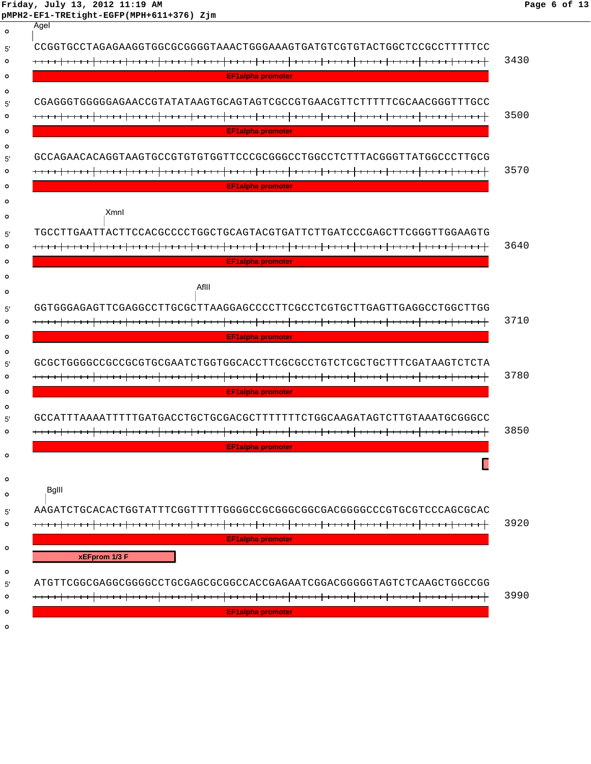|                    | Friday, July 13, 2012 11:19 AM<br>pMPH2-EF1-TREtight-EGFP(MPH+611+376) Zjm | Page 6 of 13 |
|--------------------|----------------------------------------------------------------------------|--------------|
| $\circ$            | Agel                                                                       |              |
| 5'                 | CCGGTGCCTAGAGAAGGTGCCGCGGGGTAAACTGGGAAAGTGATGTCGTGTACTGGCTCCGCCTTTTTCC     |              |
| $\circ$            |                                                                            | 3430         |
| $\circ$            | <b>EF1alpha promoter</b>                                                   |              |
| $\circ$            | CGAGGGTGGGGAGAACCGTATATAAGTGCAGTAGTCGCCGTGAACGTTCTTTTTCGCAACGGGTTTGCC      |              |
| 5'<br>$\circ$      |                                                                            | 3500         |
| $\circ$            | <b>EF1alpha promoter</b>                                                   |              |
| $\circ$            |                                                                            |              |
| 5'                 | GCCAGAACACAGGTAAGTGCCGTGTGTGGTTCCCGCGGGCCTGGCCTCTTTACGGGTTATGGCCCTTGCG     |              |
| $\circ$            |                                                                            | 3570         |
| $\circ$<br>$\circ$ | <b>EF1alpha promoter</b>                                                   |              |
| $\circ$            | Xmnl                                                                       |              |
| 5'                 | TOCCTTCAAFTAACTTOOACGCCCCTCGAAGTAAFTAATTCTTGATCCCGAGCTTCGGAATTAAGTAAGTG    |              |
| $\circ$            |                                                                            | 3640         |
| $\circ$            | <b>EF1alpha promoter</b>                                                   |              |
| $\circ$            |                                                                            |              |
| $\circ$            | AfIII                                                                      |              |
| 5'                 | GGTGGGAGAGTTCGAGGCCTTGCGCTTAAGGAGCCCCTTCGCCTCGTGCTTGAGTTGAGGCCTGGCTTGG     |              |
| $\circ$            |                                                                            | 3710         |
| $\circ$            | <b>EF1alpha promoter</b>                                                   |              |
| $\circ$<br>5'      | GCGCTGGGGCCGCCGCGTGCGAATCTGGTGGCACCTTCGCGCCTGTCTCGCTGCTTTCGATAAGTCTCTA     |              |
| $\circ$            |                                                                            | 3780         |
| $\circ$            | <b>EF1alpha promoter</b>                                                   |              |
| $\circ$            | GCCATTTAAAATTTTTGATGACCTGCTGCGACGCTTTTTTTCTGGCAAGATAGTCTTGTAAATGCGGGCC     |              |
| 5'<br>$\circ$      |                                                                            | 3850         |
|                    | <b>EF1alpha promoter</b>                                                   |              |
| $\circ$            |                                                                            |              |
| $\circ$            |                                                                            |              |
| $\circ$            | Bglll                                                                      |              |
| 5'                 |                                                                            |              |
| $\circ$            |                                                                            | 3920         |
| $\circ$            | <b>EF1alpha promoter</b>                                                   |              |
|                    | xEFprom 1/3 F                                                              |              |
| $\circ$<br>5'      | ATGTTCGGCGAGGCGGGGCCTGCGAGCGCGCCACCGAGAATCGGACGGGGGTAGTCTCAAGCTGGCCGG      |              |
| $\circ$            |                                                                            | 3990         |
| $\circ$            | <b>EF1alpha promoter</b>                                                   |              |
| $\circ$            |                                                                            |              |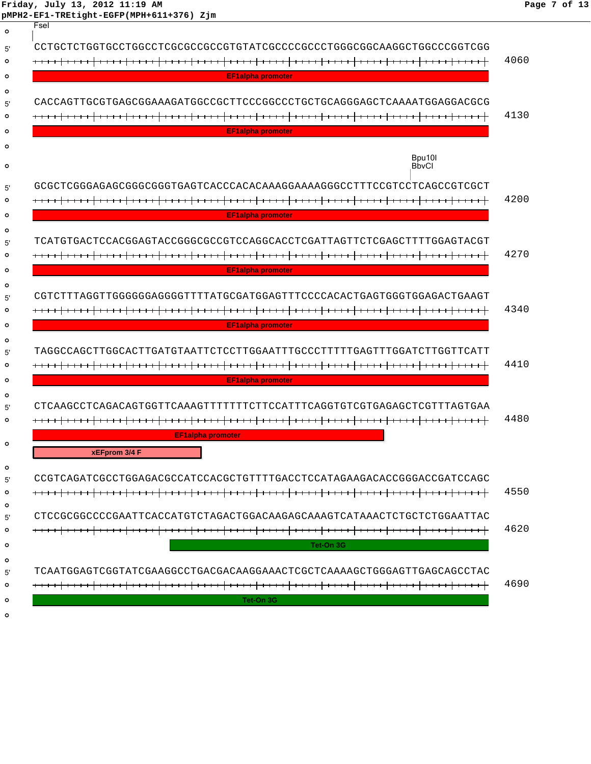**Friday, July 13, 2012 11:19 AM Page 7 of 13 pMPH2-EF1-TREtight-EGFP(MPH+611+376) Zjm**

| $\circ$                  | Fsel                                                                                               |      |
|--------------------------|----------------------------------------------------------------------------------------------------|------|
| 5'<br>۰                  | CCTGCTCTGGTGCCTGGCCTCGCGCCGCCGTGTATCGCCCCGCCCTGGGCGGCAAGGCTGGCCCGGTCGG                             | 4060 |
| $\circ$                  | <b>EF1alpha promoter</b>                                                                           |      |
| ٥<br>5'<br>ο<br>$\circ$  | CACCAGTTGCGTGAGCGGAAAGATGGCCGCTTCCCGGCCCTGCTGCAGGGAGCTCAAAATGGAGGACGCG<br><b>EF1alpha promoter</b> | 4130 |
| о                        |                                                                                                    |      |
| $\circ$                  | Bpu10I<br><b>BbvCl</b>                                                                             |      |
| 5'<br>۰                  | GCGCTCGGGAGAGCGGGCGGGTGAGTCACCCACACAAAGGAAAAGGGCCTTTCCGTCCTCAGCCGTCGCT                             | 4200 |
| $\circ$<br>٥             | <b>EF1alpha promoter</b>                                                                           |      |
| 5'<br>ο<br>$\circ$       | TCATGTGACTCCACGGAGTACCGGGCGCCGTCCAGGCACCTCGATTAGTTCTCGAGCTTTTGGAGTACGT<br><b>EF1alpha promoter</b> | 4270 |
| Ο<br>5'<br>۰<br>o        | <b>EF1alpha promoter</b>                                                                           | 4340 |
| ٥<br>5'<br>۰             | TAGGCCAGCTTGGCACTTGATGTAATTCTCCTTGGAATTTGCCCTTTTTGAGTTTGGATCTTGGTTCATT                             | 4410 |
| $\circ$                  | <b>EF1alpha promoter</b>                                                                           |      |
| ٥<br>5'<br>$\circ$       | CTCAAGCCTCAGACAGTGGTTCAAAGTTTTTTTCTTCCATTTCAGGTGTCGTGAGAGCTCGTTTAGTGAA                             | 4480 |
| $\circ$                  | <b>EF1alpha promoter</b><br>xEFprom 3/4 F                                                          |      |
| $\circ$                  |                                                                                                    |      |
| 5'<br>$\circ$<br>$\circ$ | CCGTCAGATCGCCTGGAGACGCCATCCACGCTGTTTTGACCTCCATAGAAGACACCGGGACCGATCCAGC                             | 4550 |
| 5'                       | CTCCGCGGCCCCGAATTCACCATGTCTAGACTGGACAAGAGCAAAGTCATAAACTCTGCTCTGGAATTAC                             |      |
| $\circ$                  |                                                                                                    | 4620 |
| $\circ$                  | Tet-On 3G                                                                                          |      |
| $\circ$<br>5'<br>$\circ$ | TCAATGGAGTCGGTATCGAAGGCCTGACGACAAGGAAACTCGCTCAAAAGCTGGGAGTTGAGCAGCCTAC                             | 4690 |
| $\circ$<br>$\circ$       | Tet-On 3G                                                                                          |      |
|                          |                                                                                                    |      |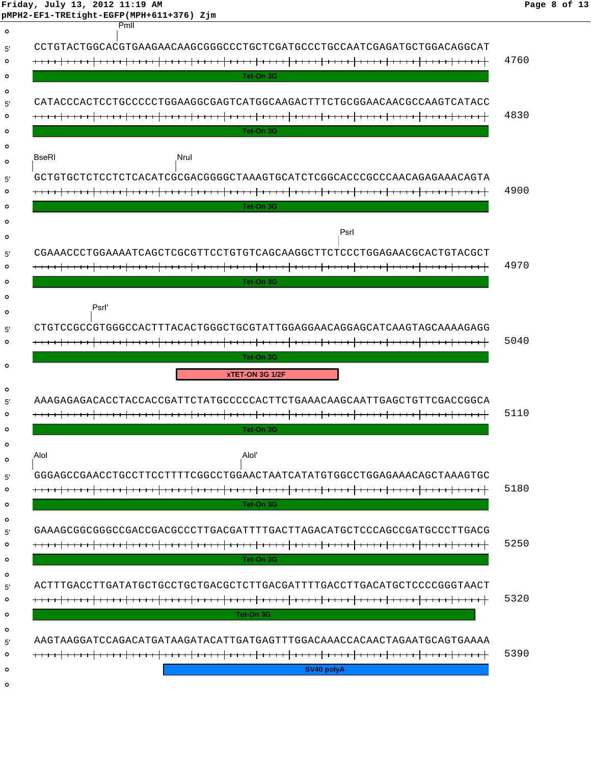|              | pMPH2-EF1-TREtight-EGFP(MPH+611+376) Zjm                               |      |
|--------------|------------------------------------------------------------------------|------|
|              | Pmll                                                                   |      |
|              | CCTGTACTGGCACGTGAAGAACAAGCGGGCCCTGCTCGATGCCCTGCCAATCGAGATGCTGGACAGGCAT |      |
|              |                                                                        | 4760 |
|              | Tet-On 3G                                                              |      |
|              |                                                                        |      |
|              | CATACCCACTCCTGCCCCCTGGAAGGCGAGTCATGGCAAGACTTTCTGCGGAACAACGCCAAGTCATACC |      |
|              |                                                                        | 4830 |
|              | Tet-On 3G                                                              |      |
|              |                                                                        |      |
| <b>BseRI</b> | Nrul                                                                   |      |
|              | GCTGTGCTCTCCTCTCACATCGCGACGGGCTAAAGTGCATCTCGGCACCCGCCCAACAGAGAAACAGTA  |      |
|              |                                                                        | 4900 |
|              | Tet-On 3G                                                              |      |
|              |                                                                        |      |
|              | Psrl                                                                   |      |
|              | CGAAACCCTGGAAAATCAGCTCGCGTTCCTGTGTCAGCAAGGCTTCTCCCTGGAGAACGCACTGTACGCT |      |
|              |                                                                        | 4970 |
|              | Tet-On 3G                                                              |      |
|              |                                                                        |      |
|              | Psrl'                                                                  |      |
|              | CTGTCCGCCGTGGCCACTTTACACTGGGCTGCGTATTGGAGGAACAGGAGCATCAAGTAGCAAAAGAGG  |      |
|              | <del>.      </del>                                                     | 5040 |
|              |                                                                        |      |
|              | Tet-On 3G                                                              |      |
|              | xTET-ON 3G 1/2F                                                        |      |
|              |                                                                        |      |
|              | AAAGAGAGACACCHACCOGATTCTATGCCCCCACTTCTGAAACAAGCAATTGAGCTGTTCGACCGGCA   |      |
|              |                                                                        | 5110 |
|              | Tet-On 3G                                                              |      |
|              |                                                                        |      |
|              | Alol'                                                                  |      |
|              | GGGAGCCGAACCTGCCTTCCTTTTCGGCCTGGAACTAATCATATGTGGCCTGGAGAAACAGCTAAAGTGC |      |
|              |                                                                        | 5180 |
|              | Tet-On 3G                                                              |      |
|              | GAAAGCGGCGGCCGACCGACGCCCTTGACGATTTTGACTTAGACATGCTCCCAGCCGATGCCCTTGACG  |      |
|              |                                                                        | 5250 |
|              | Tet-On 3G                                                              |      |
|              |                                                                        |      |
|              | ACTTTGACCTTGATATGCTGCCTGCTGACGCTCTTGACGATTTTGACCTTGACATGCTCCCCGGGTAACT |      |
|              |                                                                        | 5320 |
|              | Tet-On 3G                                                              |      |
|              |                                                                        |      |
|              | AAGTAAGGATCCAGACATGATAAGATACATTGATGAGTTTGGACAAACCACAACTAGAATGCAGTGAAAA |      |
| Alol         | SV40 polyA                                                             | 5390 |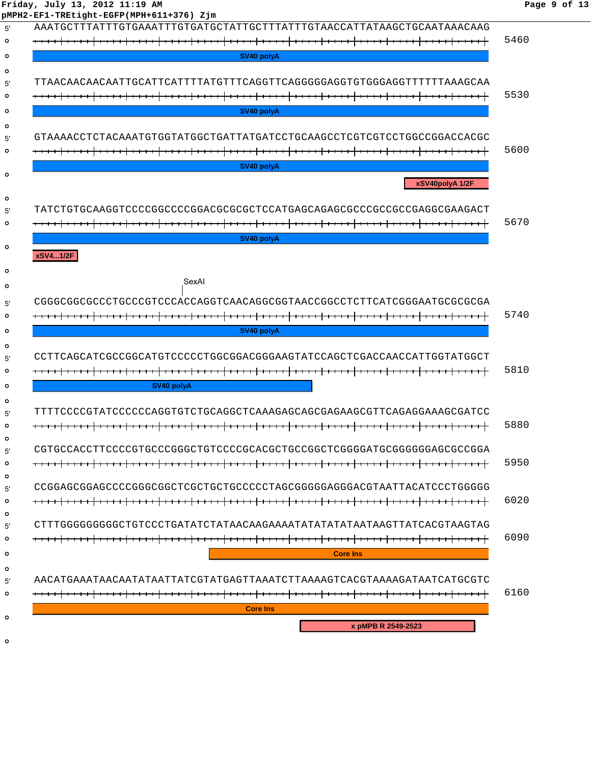| pMPH2-EF1-TREtight-EGFP(MPH+611+376) Zjm                                |      |
|-------------------------------------------------------------------------|------|
| AAATGCTTTATTTGTGAAATTTGTGATGCTATTGCTTTATTTGTAACCATTATAAGCTGCAATAAACAAG  |      |
|                                                                         | 5460 |
| SV40 polvA                                                              |      |
| TTAACAACAACAATTGCATTCATTTTATGTTTCAGGTTCAGGGGGAGGTGTGGGAGGTTTTTTAAAGCAA  |      |
|                                                                         | 5530 |
|                                                                         |      |
| SV40 polyA                                                              |      |
| GTAAAACCTCTACAAATGTGGTATGGCTGATTATGATCCTGCAAGCCTCGTCGTCCTGGCCGGACCACGC  |      |
|                                                                         | 5600 |
| SV40 polyA                                                              |      |
| xSV40polyA 1/2F                                                         |      |
|                                                                         |      |
|                                                                         | 5670 |
| SV40 polyA                                                              |      |
|                                                                         |      |
| xSV41/2F                                                                |      |
| SexAl                                                                   |      |
|                                                                         |      |
| CGGGCGGCGCCCCTGCCCGTCCCACCAGGTCAACAGGCGGTAACCGGCCTCTTCATCGGGAATGCGCGCGA |      |
|                                                                         | 5740 |
|                                                                         |      |
| SV40 polyA                                                              |      |
|                                                                         |      |
|                                                                         |      |
|                                                                         | 5810 |
| SV40 polvA                                                              |      |
| TTTTCCCCGTATCCCCCCAGGTGTCTGCAGGCTCAAAGAGCAGCGAGAAGCGTTCAGAGGAAAGCGATCC  |      |
|                                                                         | 5880 |
|                                                                         |      |
| CGTGCCACCTTCCCCGTGCCCGGGCTGTCCCCGCACGCTGCCGGCTCGGGGATGCGGGGGGAGCGCCGGA  |      |
|                                                                         | 5950 |
|                                                                         |      |
|                                                                         | 6020 |
|                                                                         |      |
|                                                                         |      |
|                                                                         | 6090 |
| <b>Core Ins</b>                                                         |      |
|                                                                         |      |
| AACATGAAATAACAATATAATTATCGTATGAGTTAAATCTTAAAAGTCACGTAAAAGATAATCATGCGTC  | 6160 |

 $\circ$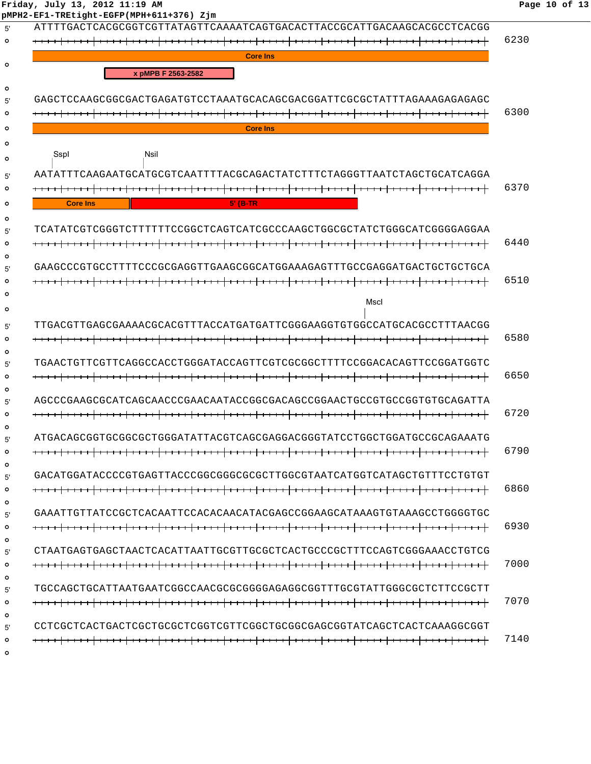**Friday, July 13, 2012 11:19 AM Page 10 of 13 pMPH2-EF1-TREtight-EGFP(MPH+611+376) Zjm** 5' ATTTTGACTCACGCGGTCGTTATAGTTCAAAATCAGTGACACTTACCGCATTGACAAGCACGCCTCACGG 6230 **Core Ins**  $\circ$ **x pMPB F 2563-2582**  $\Omega$ 5' GAGCTCCAAGCGGCGACTGAGATGTCCTAAATGCACAGCGACGGATTCGCGCTATTTAGAAAGAGAGAGC 6300  $\circ$ **Core Ins**  $\Omega$  $\Omega$ SspI Nsil  $\Omega$ 5' AATATTTCAAGAATGCATGCGTCAATTTTACGCAGACTATCTTTCTAGGGTTAATCTAGCTGCATCAGGA 6370  $\circ$ **Core Ins 5' {B-TR**  $\circ$ 5' TCATATCGTCGGGTCTTTTTTCCGGCTCAGTCATCGCCCAAGCTGGCGCTATCTGGGCATCGGGGAGGAA 6440  $\Omega$  $\Omega$ 5' GAAGCCCGTGCCTTTTCCCGCGAGGTTGAAGCGGCATGGAAAGAGTTTGCCGAGGATGACTGCTGCTGCA 6510  $\Omega$  $\Omega$ MscI  $\Omega$ 5' TTGACGTTGAGCGAAAACGCACGTTTACCATGATGATTCGGGAAGGTGTGGCCATGCACGCCTTTAACGG  $\circ$  6580  $\circ$ 5' TGAACTGTTCGTTCAGGCCACCTGGGATACCAGTTCGTCGCGGCTTTTCCGGACACAGTTCCGGATGGTC 6650  $\Omega$  $\circ$ 5' AGCCCGAAGCGCATCAGCAACCCGAACAATACCGGCGACAGCCGGAACTGCCGTGCCGGTGTGCAGATTA 6720  $\Omega$  $\Omega$ 5' ATGACAGCGGTGCGGCGCTGGGATATTACGTCAGCGAGGACGGGTATCCTGGCTGGATGCCGCAGAAATG 6790  $\Omega$  $\circ$ 5' GACATGGATACCCCGTGAGTTACCCGGCGGGCGCGCTTGGCGTAATCATGGTCATAGCTGTTTCCTGTGT 6860  $\circ$  $\Omega$ 5' GAAATTGTTATCCGCTCACAATTCCACACAACATACGAGCCGGAAGCATAAAGTGTAAAGCCTGGGGTGC 6930  $\circ$ 5' CTAATGAGTGAGCTAACTCACATTAATTGCGTTGCGCTCACTGCCCGCTTTCCAGTCGGGAAACCTGTCG 7000  $\circ$  $\Omega$ 5' TGCCAGCTGCATTAATGAATCGGCCAACGCGCGGGGAGAGGCGGTTTGCGTATTGGGCGCTCTTCCGCTT 7070  $\circ$  $\Omega$ 5' CCTCGCTCACTGACTCGCTGCGCTCGGTCGTTCGGCTGCGGCGAGCGGTATCAGCTCACTCAAAGGCGGT 7140 $\circ$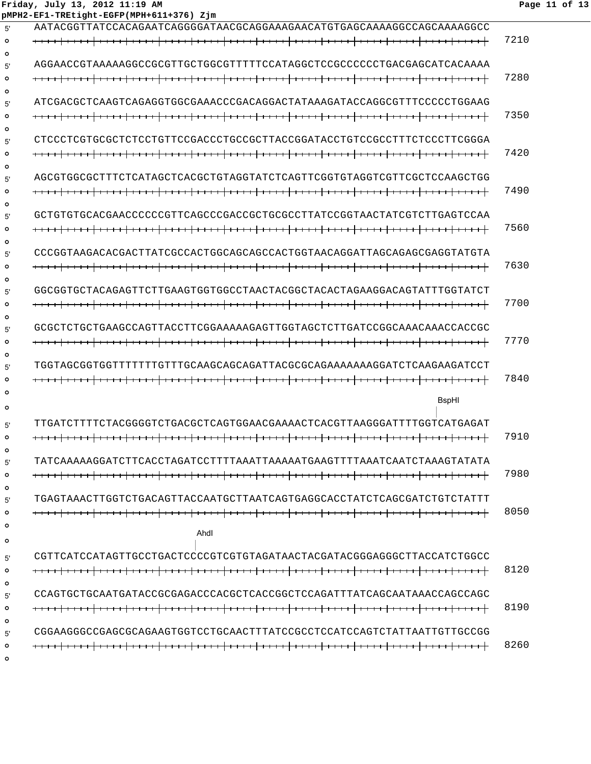|                    | pMPH2-EF1-TREtight-EGFP(MPH+611+376) Zjm                               |      |
|--------------------|------------------------------------------------------------------------|------|
| 5'                 | AATACGGTTATCCACAGAATCAGGGGATAACGCAGGAAAGAACATGTGAGCAAAAGGCCAGCAAAAGGCC |      |
| $\circ$<br>$\circ$ |                                                                        | 7210 |
| 5'                 |                                                                        |      |
| $\circ$            |                                                                        | 7280 |
| $\circ$<br>5'      | ATCGACGCTCAAGTCAGACDFEAAACCCGACAGDATATAAAGATACCAGGCGTTTCCCCCTCAAGDAAG  |      |
| $\circ$            |                                                                        | 7350 |
| $\circ$<br>5'      | CTCCCTCGTGCGCTCTCCTGTTCCGACCCTGCCGCTTACCGGATACCTGTCCGCCTTTCTCCCTTCGGGA |      |
| $\circ$            |                                                                        | 7420 |
| $\circ$            |                                                                        |      |
| 5'                 | AGCGTGGCGCTTTCTCATAGCTCACGCTGTAGGTATCTCAGTTCGGTGTAGGTCGTTCCCAAGCTGG    |      |
| $\circ$<br>$\circ$ |                                                                        | 7490 |
| 5'                 | GCTGTGTGCACGAACCCCCCGTTCAGCCCGACCGCTGCGCCTTATCCGGTAACTATCGTCTTGAGTCCAA |      |
| $\circ$            |                                                                        | 7560 |
| $\circ$<br>5'      | CCCGGTAAGACACGACTTATCGCCACTGGCAGCAGCCACTGGTAACAGGATTAGCAGAGCGAGGTATGTA |      |
| $\circ$            |                                                                        | 7630 |
| $\circ$<br>5'      | GGCGGTGCTACAGAGTTCTTGAAGTGGTGGCCTAACTACGGCTACACTAGAAGGACAGTATTTGGTATCT |      |
| $\circ$            |                                                                        | 7700 |
| $\circ$            |                                                                        |      |
| 5'<br>$\circ$      |                                                                        | 7770 |
| $\circ$            |                                                                        |      |
| 5'<br>$\circ$      | TGGTAGCGGTGGTTTTTTTGTTTGCAAGCAGCAGATTACGCGCAGAAAAAAAGGATCTCAAGAAGATCCT | 7840 |
| $\circ$            |                                                                        |      |
| $\circ$            | BspHI                                                                  |      |
| 5'                 | TTGATCTTTTCTACGGGGTCTGACGCTCAGTGGAACGAAAACTCACGTTAAGGGATTTTGGTCATGAGAT |      |
|                    |                                                                        | 7910 |
| $\circ$<br>5'      |                                                                        |      |
| $\circ$            |                                                                        | 7980 |
| $\circ$<br>5'      | TGAGTAAACTTGGTCTGACAGTTACCAATGCTTAATCAGTGAGGCACCTATCTCAGCGATCTGTCTATTT |      |
| $\circ$            |                                                                        | 8050 |
| $\circ$            | Ahdl                                                                   |      |
| $\circ$            |                                                                        |      |
| 5'                 | CGTTCATCCATAGTTGCCTGACTCCCCGTCGTGTAGATAACTACGATACGGGAGGGCTTACCATCTGGCC | 8120 |
| $\circ$<br>$\circ$ |                                                                        |      |
| 5'                 |                                                                        |      |
| $\circ$<br>$\circ$ |                                                                        | 8190 |
| 5'                 |                                                                        |      |
| $\circ$            |                                                                        | 8260 |
| $\circ$            |                                                                        |      |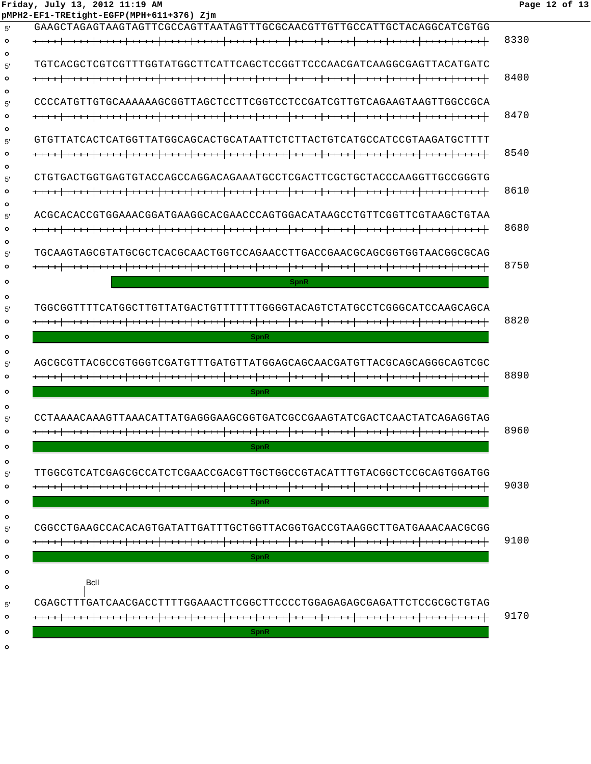#### **Friday, July 13, 2012 11:19 AM Page 12 of 13 pMPH2-EF1-TREtight-EGFP(MPH+611+376) Zjm**

| 5'      | GAAGCTAGAGTAAGTAGTTCGCCAGTTAATAGTTTGCGCAACGTTGTTGCCATTGCTACAGGCATCGTGG  |      |
|---------|-------------------------------------------------------------------------|------|
| $\circ$ |                                                                         | 8330 |
| $\circ$ |                                                                         |      |
| 5'      | TGTCACGCTCGTCGTTTGGTATGGCTTCATTCAGCTCCGGTTCCCAACGATCAAGGCGAGTTACATGATC  |      |
| Ο       |                                                                         | 8400 |
| $\circ$ |                                                                         |      |
| 5'      |                                                                         |      |
| $\circ$ |                                                                         | 8470 |
| $\circ$ |                                                                         |      |
| 5'      | GTGTTATCACTCATGGTTATGGCAGCACTGCATAATTCTCTTACTGTCATGCCATCCGTAAGATGCTTTT  |      |
| $\circ$ |                                                                         | 8540 |
| $\circ$ | CTGTGACTGGTGAGTGTACCAGCCAGGACAGAAATGCCTCGACTTCGCTGCTACCCAAGGTTGCCGGGTG  |      |
| 5'<br>Ο |                                                                         | 8610 |
| $\circ$ |                                                                         |      |
| 5'      | ACGCACACCGTGGAAACGGATGAAGGCACGAACCCAGTGGACATAAGCCTGTTCGGTTCGTAAGCTGTAA  |      |
| $\circ$ |                                                                         | 8680 |
| $\circ$ |                                                                         |      |
| 5'      | TGCAAGTAGCGTATGCGCTCACGCAACTGGTCCAGAACCTTGACCGAACGCAGCGGTGGTAACGGCGCAG  |      |
| Ο       |                                                                         | 8750 |
| o       | <b>SpnR</b>                                                             |      |
| $\circ$ |                                                                         |      |
| 5'      | TGGCGGTTTTCATGGCTTGTTATGACTGTTTTTTTGGGGTACAGTCTATGCCTCGGGCATCCAAGCAGCA  |      |
| $\circ$ |                                                                         | 8820 |
|         |                                                                         |      |
| o       | <b>SpnR</b>                                                             |      |
| $\circ$ |                                                                         |      |
| 5'      |                                                                         | 8890 |
| $\circ$ |                                                                         |      |
| $\circ$ | <b>SpnR</b>                                                             |      |
| $\circ$ |                                                                         |      |
| 5'      | CCTAAAACAAAGTTAAACATTATGAGGGAAGCGGTGATCGCCGAAGTATCGACTCAACTATCAGAGGTAG  |      |
| $\circ$ |                                                                         | 8960 |
| $\circ$ | SpnR                                                                    |      |
| $\circ$ |                                                                         |      |
| 5'      | TTGGCGTCATCGAGCGCCATCTCGAACCGACGTTGCTGGCCGTACATTTGTACGGCTCCGCAGTGGATGG  |      |
| $\circ$ |                                                                         | 9030 |
| $\circ$ | <b>SpnR</b>                                                             |      |
| $\circ$ |                                                                         |      |
| 5'      | CGGCCCTGAAGCCACACACACTATATTGATTCCTGCTTACGGTAACCGTAAGGCTTGATGAAACAACGCGG |      |
| $\circ$ |                                                                         | 9100 |
| $\circ$ | <b>SpnR</b>                                                             |      |
| $\circ$ |                                                                         |      |
| $\circ$ | Bcll                                                                    |      |
|         |                                                                         |      |
| 5'      | CGAGCTTTGATCAACGACCTTTTGGAAACTTCGGCTTCCCCTGGAGAGAGCGAGATTCTCCGCGCTGTAG  |      |
| $\circ$ |                                                                         | 9170 |
| $\circ$ | <b>SpnR</b>                                                             |      |
| $\circ$ |                                                                         |      |